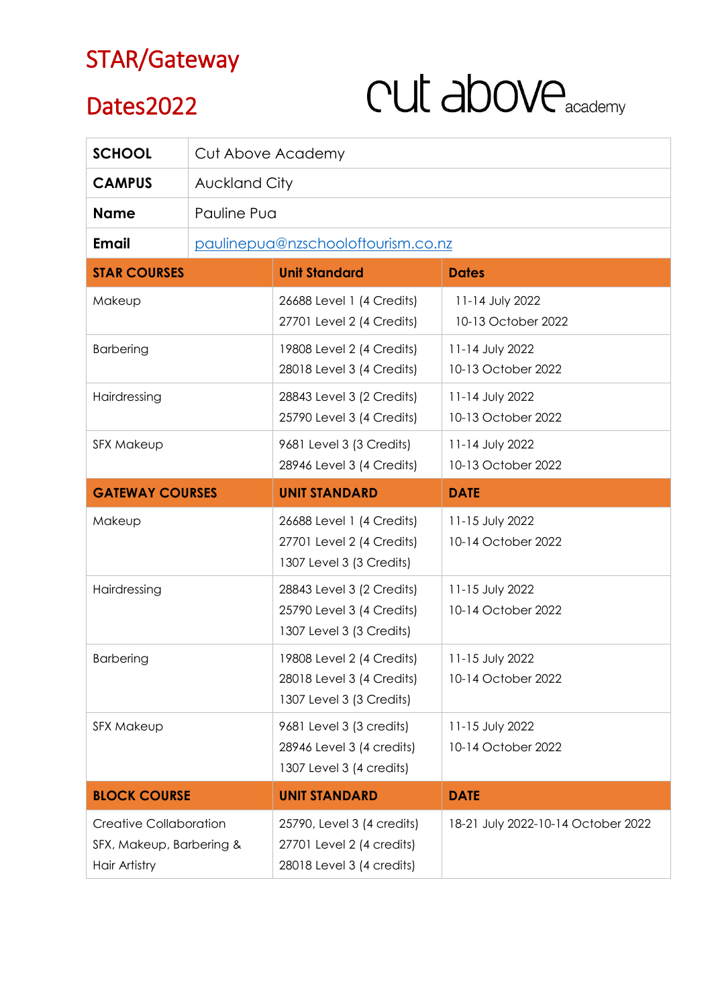### STAR/Gateway

#### Dates2022

# CUL above

| <b>SCHOOL</b>                                                              | Cut Above Academy                  |                                                                                      |                                       |
|----------------------------------------------------------------------------|------------------------------------|--------------------------------------------------------------------------------------|---------------------------------------|
| <b>CAMPUS</b>                                                              | Auckland City                      |                                                                                      |                                       |
| <b>Name</b>                                                                | Pauline Pua                        |                                                                                      |                                       |
| <b>Email</b>                                                               | paulinepua@nzschooloftourism.co.nz |                                                                                      |                                       |
| <b>STAR COURSES</b>                                                        |                                    | <b>Unit Standard</b>                                                                 | <b>Dates</b>                          |
| Makeup                                                                     |                                    | 26688 Level 1 (4 Credits)<br>27701 Level 2 (4 Credits)                               | 11-14 July 2022<br>10-13 October 2022 |
| <b>Barbering</b>                                                           |                                    | 19808 Level 2 (4 Credits)<br>28018 Level 3 (4 Credits)                               | 11-14 July 2022<br>10-13 October 2022 |
| Hairdressing                                                               |                                    | 28843 Level 3 (2 Credits)<br>25790 Level 3 (4 Credits)                               | 11-14 July 2022<br>10-13 October 2022 |
| <b>SFX Makeup</b>                                                          |                                    | 9681 Level 3 (3 Credits)<br>28946 Level 3 (4 Credits)                                | 11-14 July 2022<br>10-13 October 2022 |
| <b>GATEWAY COURSES</b>                                                     |                                    | <b>UNIT STANDARD</b>                                                                 | <b>DATE</b>                           |
| Makeup                                                                     |                                    | 26688 Level 1 (4 Credits)<br>27701 Level 2 (4 Credits)<br>1307 Level 3 (3 Credits)   | 11-15 July 2022<br>10-14 October 2022 |
| Hairdressing                                                               |                                    | 28843 Level 3 (2 Credits)<br>25790 Level 3 (4 Credits)<br>1307 Level 3 (3 Credits)   | 11-15 July 2022<br>10-14 October 2022 |
| <b>Barbering</b>                                                           |                                    | 19808 Level 2 (4 Credits)<br>28018 Level 3 (4 Credits)<br>1307 Level 3 (3 Credits)   | 11-15 July 2022<br>10-14 October 2022 |
| <b>SFX Makeup</b>                                                          |                                    | 9681 Level 3 (3 credits)<br>28946 Level 3 (4 credits)<br>1307 Level 3 (4 credits)    | 11-15 July 2022<br>10-14 October 2022 |
| <b>BLOCK COURSE</b>                                                        |                                    | <b>UNIT STANDARD</b>                                                                 | <b>DATE</b>                           |
| <b>Creative Collaboration</b><br>SFX, Makeup, Barbering &<br>Hair Artistry |                                    | 25790, Level 3 (4 credits)<br>27701 Level 2 (4 credits)<br>28018 Level 3 (4 credits) | 18-21 July 2022-10-14 October 2022    |